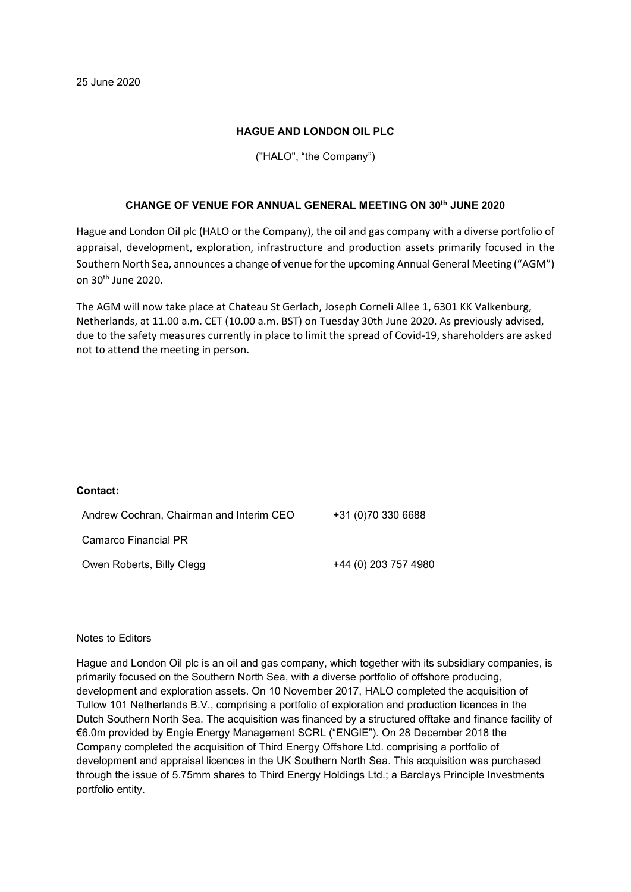## HAGUE AND LONDON OIL PLC

# ("HALO", "the Company")

## CHANGE OF VENUE FOR ANNUAL GENERAL MEETING ON 30th JUNE 2020

Hague and London Oil plc (HALO or the Company), the oil and gas company with a diverse portfolio of appraisal, development, exploration, infrastructure and production assets primarily focused in the Southern North Sea, announces a change of venue for the upcoming Annual General Meeting ("AGM") on 30th June 2020.

The AGM will now take place at Chateau St Gerlach, Joseph Corneli Allee 1, 6301 KK Valkenburg, Netherlands, at 11.00 a.m. CET (10.00 a.m. BST) on Tuesday 30th June 2020. As previously advised, due to the safety measures currently in place to limit the spread of Covid-19, shareholders are asked not to attend the meeting in person.

#### Contact:

| Andrew Cochran, Chairman and Interim CEO | +31 (0)70 330 6688   |
|------------------------------------------|----------------------|
| Camarco Financial PR                     |                      |
| Owen Roberts, Billy Clegg                | +44 (0) 203 757 4980 |

### Notes to Editors

Hague and London Oil plc is an oil and gas company, which together with its subsidiary companies, is primarily focused on the Southern North Sea, with a diverse portfolio of offshore producing, development and exploration assets. On 10 November 2017, HALO completed the acquisition of Tullow 101 Netherlands B.V., comprising a portfolio of exploration and production licences in the Dutch Southern North Sea. The acquisition was financed by a structured offtake and finance facility of €6.0m provided by Engie Energy Management SCRL ("ENGIE"). On 28 December 2018 the Company completed the acquisition of Third Energy Offshore Ltd. comprising a portfolio of development and appraisal licences in the UK Southern North Sea. This acquisition was purchased through the issue of 5.75mm shares to Third Energy Holdings Ltd.; a Barclays Principle Investments portfolio entity.